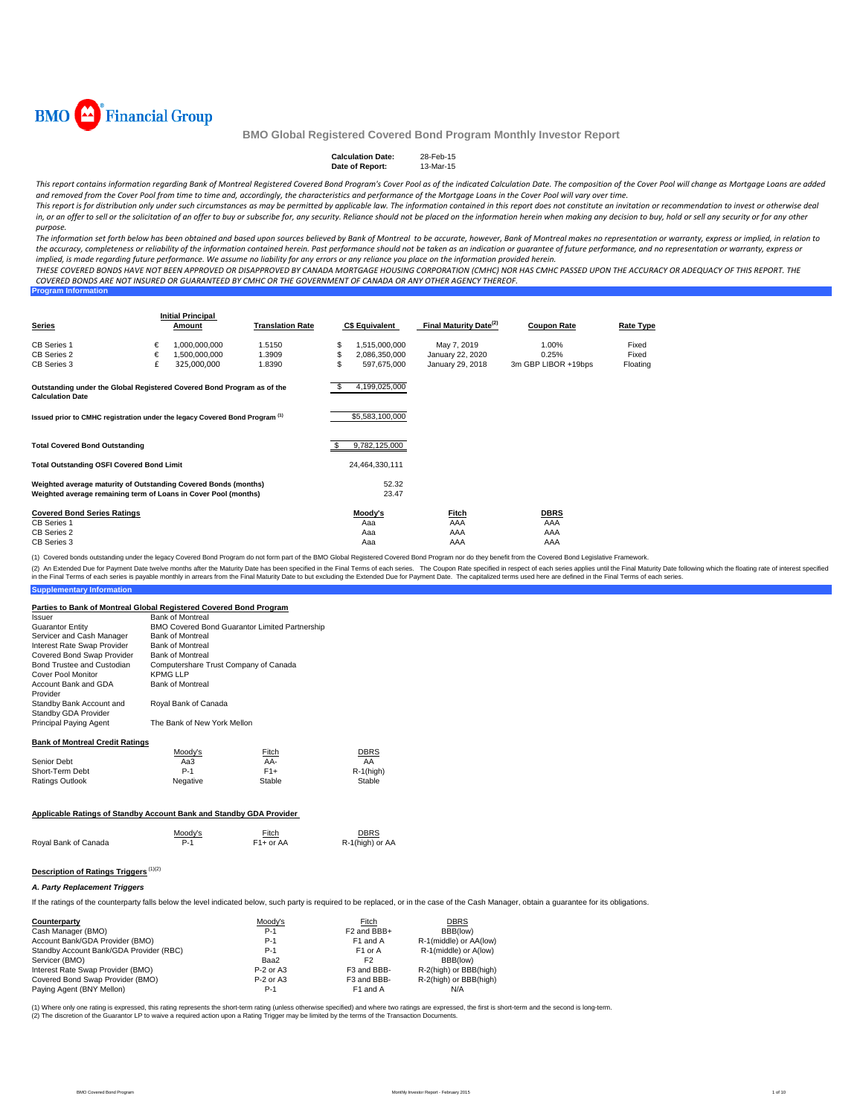

| <b>Calculation Date:</b> | 28-Feb-15 |
|--------------------------|-----------|
| Date of Report:          | 13-Mar-15 |

This report contains information regarding Bank of Montreal Registered Covered Bond Program's Cover Pool as of the indicated Calculation Date. The composition of the Cover Pool will change as Mortgage Loans are added and removed from the Cover Pool from time to time and, accordingly, the characteristics and performance of the Mortgage Loans in the Cover Pool will vary over time.

This report is for distribution only under such circumstances as may be permitted by applicable law. The information contained in this report does not constitute an invitation or recommendation to invest or otherwise deal in, or an offer to sell or the solicitation of an offer to buy or subscribe for, any security. Reliance should not be placed on the information herein when making any decision to buy, hold or sell any security or for any o *purpose.*

The information set forth below has been obtained and based upon sources believed by Bank of Montreal to be accurate, however, Bank of Montreal makes no representation or warranty, express or implied, in relation to the accuracy, completeness or reliability of the information contained herein. Past performance should not be taken as an indication or guarantee of future performance, and no representation or warranty, express or implied, is made regarding future performance. We assume no liability for any errors or any reliance you place on the information provided herein.

THESE COVERED BONDS HAVE NOT BEEN APPROVED OR DISAPPROVED BY CANADA MORTGAGE HOUSING CORPORATION (CMHC) NOR HAS CMHC PASSED UPON THE ACCURACY OR ADEQUACY OF THIS REPORT. THE COVERED BONDS ARE NOT INSURED OR GUARANTEED BY CMHC OR THE GOVERNMENT OF CANADA OR ANY OTHER AGENCY THEREOF.

| <b>Program Information</b> |  |
|----------------------------|--|
|                            |  |

| Series                                                                                                                             |        | <b>Initial Principal</b><br>Amount | <b>Translation Rate</b> |        | <b>C\$ Equivalent</b>          | Final Maturity Date <sup>(2)</sup> | <b>Coupon Rate</b>        | Rate Type      |
|------------------------------------------------------------------------------------------------------------------------------------|--------|------------------------------------|-------------------------|--------|--------------------------------|------------------------------------|---------------------------|----------------|
| CB Series 1<br>CB Series 2                                                                                                         | €<br>€ | 1,000,000,000<br>1,500,000,000     | 1.5150<br>1.3909        | S<br>S | 1,515,000,000<br>2,086,350,000 | May 7, 2019<br>January 22, 2020    | 1.00%<br>0.25%            | Fixed<br>Fixed |
| CB Series 3                                                                                                                        | £      | 325,000,000                        | 1.8390                  | \$     | 597.675.000                    | January 29, 2018                   | 3m GBP LIBOR +19bps       | Floating       |
| Outstanding under the Global Registered Covered Bond Program as of the<br><b>Calculation Date</b>                                  |        |                                    |                         | - 5    | 4,199,025,000                  |                                    |                           |                |
| Issued prior to CMHC registration under the legacy Covered Bond Program <sup>(1)</sup>                                             |        |                                    |                         |        | \$5,583,100,000                |                                    |                           |                |
| <b>Total Covered Bond Outstanding</b>                                                                                              |        |                                    |                         | S      | 9,782,125,000                  |                                    |                           |                |
| <b>Total Outstanding OSFI Covered Bond Limit</b>                                                                                   |        |                                    |                         |        | 24,464,330,111                 |                                    |                           |                |
| Weighted average maturity of Outstanding Covered Bonds (months)<br>Weighted average remaining term of Loans in Cover Pool (months) |        |                                    |                         |        | 52.32<br>23.47                 |                                    |                           |                |
| <b>Covered Bond Series Ratings</b><br>CB Series 1<br>CB Series 2                                                                   |        |                                    |                         |        | Moody's<br>Aaa<br>Aaa          | <u>Fitch</u><br>AAA<br>AAA         | <b>DBRS</b><br>AAA<br>AAA |                |
| CB Series 3                                                                                                                        |        |                                    |                         |        | Aaa                            | AAA                                | AAA                       |                |

(1) Covered bonds outstanding under the legacy Covered Bond Program do not form part of the BMO Global Registered Covered Bond Program nor do they benefit from the Covered Bond Legislative Framework.

(2) An Extended Due for Payment Date welve months after the Maturity Date has been specified in the Final Terms of each series. The Coupon Rate specified mespect of each series specified in expects and be for Payment Date.

#### **Suppl**

#### **Parties to Bank of Montreal Global Registered Covered Bond Program**

| Issuer                                                              | <b>Bank of Montreal</b>               |                                                |                         |
|---------------------------------------------------------------------|---------------------------------------|------------------------------------------------|-------------------------|
| <b>Guarantor Entity</b>                                             |                                       | BMO Covered Bond Guarantor Limited Partnership |                         |
| Servicer and Cash Manager                                           | <b>Bank of Montreal</b>               |                                                |                         |
| Interest Rate Swap Provider                                         | <b>Bank of Montreal</b>               |                                                |                         |
| Covered Bond Swap Provider                                          | <b>Bank of Montreal</b>               |                                                |                         |
| Bond Trustee and Custodian                                          | Computershare Trust Company of Canada |                                                |                         |
| Cover Pool Monitor                                                  | <b>KPMG LLP</b>                       |                                                |                         |
|                                                                     |                                       |                                                |                         |
| Account Bank and GDA<br>Provider                                    | <b>Bank of Montreal</b>               |                                                |                         |
| Standby Bank Account and                                            | Royal Bank of Canada                  |                                                |                         |
| Standby GDA Provider                                                |                                       |                                                |                         |
| Principal Paying Agent                                              | The Bank of New York Mellon           |                                                |                         |
| <b>Bank of Montreal Credit Ratings</b>                              |                                       |                                                |                         |
|                                                                     | Moody's                               | Fitch                                          | DBRS                    |
| Senior Debt                                                         | Aa3                                   | AA-                                            | AA                      |
| Short-Term Debt                                                     | $P-1$                                 | $F1+$                                          | $R-1$ (high)            |
| Ratings Outlook                                                     | Negative                              | Stable                                         | Stable                  |
| Applicable Ratings of Standby Account Bank and Standby GDA Provider |                                       |                                                |                         |
| Royal Bank of Canada                                                | Moody's<br>$P-1$                      | Fitch<br>$F1+$ or AA                           | DBRS<br>R-1(high) or AA |
|                                                                     |                                       |                                                |                         |

## **Description of Ratings Triggers** (1)(2)

#### *A. Party Replacement Triggers*

If the ratings of the counterparty falls below the level indicated below, such party is required to be replaced, or in the case of the Cash Manager, obtain a guarantee for its obligations.

| Counterparty                            | Moody's     | Fitch                   | <b>DBRS</b>            |
|-----------------------------------------|-------------|-------------------------|------------------------|
| Cash Manager (BMO)                      | $P-1$       | F <sub>2</sub> and BBB+ | BBB(low)               |
| Account Bank/GDA Provider (BMO)         | $P-1$       | F1 and A                | R-1(middle) or AA(low) |
| Standby Account Bank/GDA Provider (RBC) | P-1         | F <sub>1</sub> or A     | R-1(middle) or A(low)  |
| Servicer (BMO)                          | Baa2        | F <sub>2</sub>          | BBB(low)               |
| Interest Rate Swap Provider (BMO)       | $P-2$ or A3 | F3 and BBB-             | R-2(high) or BBB(high) |
| Covered Bond Swap Provider (BMO)        | $P-2$ or A3 | F3 and BBB-             | R-2(high) or BBB(high) |
| Paying Agent (BNY Mellon)               | $P-1$       | F1 and A                | N/A                    |

(1) Where only one rating is expressed, this rating represents the short-term rating (unless otherwise specified) and where two ratings are expressed, the first is short-term and the second is long-term.<br>(2) The discretion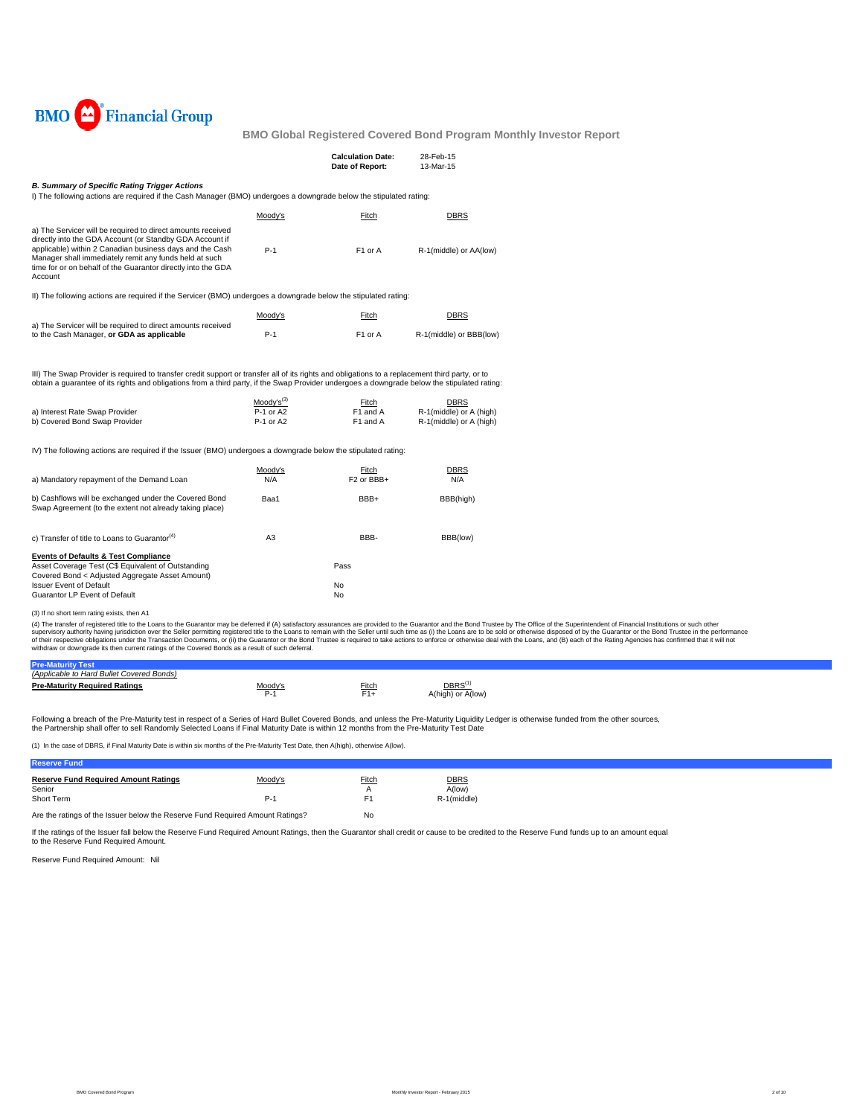

|                                                                                                                                                                                                                                                                                                                          |                                            | <b>Calculation Date:</b><br>Date of Report: | 28-Feb-15<br>13-Mar-15                                            |
|--------------------------------------------------------------------------------------------------------------------------------------------------------------------------------------------------------------------------------------------------------------------------------------------------------------------------|--------------------------------------------|---------------------------------------------|-------------------------------------------------------------------|
| <b>B. Summary of Specific Rating Trigger Actions</b><br>I) The following actions are required if the Cash Manager (BMO) undergoes a downgrade below the stipulated rating:                                                                                                                                               |                                            |                                             |                                                                   |
|                                                                                                                                                                                                                                                                                                                          | Moody's                                    | Fitch                                       | <b>DBRS</b>                                                       |
| a) The Servicer will be required to direct amounts received<br>directly into the GDA Account (or Standby GDA Account if<br>applicable) within 2 Canadian business days and the Cash<br>Manager shall immediately remit any funds held at such<br>time for or on behalf of the Guarantor directly into the GDA<br>Account | $P-1$                                      | F1 or A                                     | R-1(middle) or AA(low)                                            |
| II) The following actions are required if the Servicer (BMO) undergoes a downgrade below the stipulated rating:                                                                                                                                                                                                          |                                            |                                             |                                                                   |
|                                                                                                                                                                                                                                                                                                                          | Moody's                                    | Fitch                                       | <b>DBRS</b>                                                       |
| a) The Servicer will be required to direct amounts received<br>to the Cash Manager, or GDA as applicable                                                                                                                                                                                                                 | $P-1$                                      | F <sub>1</sub> or A                         | R-1(middle) or BBB(low)                                           |
| III) The Swap Provider is required to transfer credit support or transfer all of its rights and obligations to a replacement third party, or to<br>obtain a quarantee of its rights and obligations from a third party, if the Swap Provider undergoes a downgrade below the stipulated rating:                          |                                            |                                             |                                                                   |
| a) Interest Rate Swap Provider<br>b) Covered Bond Swap Provider                                                                                                                                                                                                                                                          | $Modv's^{(3)}$<br>$P-1$ or A2<br>P-1 or A2 | Fitch<br>F1 and A<br>F1 and A               | <b>DBRS</b><br>R-1(middle) or A (high)<br>R-1(middle) or A (high) |
| IV) The following actions are required if the Issuer (BMO) undergoes a downgrade below the stipulated rating:                                                                                                                                                                                                            |                                            |                                             |                                                                   |
| a) Mandatory repayment of the Demand Loan                                                                                                                                                                                                                                                                                | Moody's<br>N/A                             | Fitch<br>F <sub>2</sub> or BBB+             | <b>DBRS</b><br>N/A                                                |
| b) Cashflows will be exchanged under the Covered Bond<br>Swap Agreement (to the extent not already taking place)                                                                                                                                                                                                         | Baa1                                       | BBB+                                        | BBB(high)                                                         |
| c) Transfer of title to Loans to Guarantor <sup>(4)</sup>                                                                                                                                                                                                                                                                | A3                                         | BBB-                                        | BBB(low)                                                          |
| <b>Events of Defaults &amp; Test Compliance</b><br>Asset Coverage Test (C\$ Equivalent of Outstanding<br>Covered Bond < Adjusted Aggregate Asset Amount)                                                                                                                                                                 |                                            | Pass                                        |                                                                   |
| <b>Issuer Event of Default</b><br>Guarantor LP Event of Default                                                                                                                                                                                                                                                          |                                            | No<br>No                                    |                                                                   |

(3) If no short term rating exists, then A1

(4) The transfer of registered title to the Loans to the Guarantor may be deferred if (A) satisfactory assurances are provided to the Guarantor and the Bond Trustee by The Office of the Superintendent of Financial Institut

| (Applicable to Hard Bullet Covered Bonds) |              |       |                                        |  |
|-------------------------------------------|--------------|-------|----------------------------------------|--|
| <b>Pre-Maturity Required Ratings</b>      | Moody'<br>-- | Fitch | DBRS <sup>(</sup><br>A(high) or A(low) |  |

Following a breach of the Pre-Maturity test in respect of a Series of Hard Bullet Covered Bonds, and unless the Pre-Maturity Liquidity Ledger is otherwise funded from the other sources, the Partnership shall offer to sell Randomly Selected Loans if Final Maturity Date is within 12 months from the Pre-Maturity Test Date

(1) In the case of DBRS, if Final Maturity Date is within six months of the Pre-Maturity Test Date, then A(high), otherwise A(low).

| <b>Reserve Fund Required Amount Ratings</b> | Moody's | Fitch | <b>DBRS</b> |
|---------------------------------------------|---------|-------|-------------|
| Senior<br>Short Term                        |         |       | A(low)      |
|                                             | P.      |       | R-1(middle) |
|                                             |         |       |             |

Are the ratings of the Issuer below the Reserve Fund Required Amount Ratings? No

If the ratings of the Issuer fall below the Reserve Fund Required Amount Ratings, then the Guarantor shall credit or cause to be credited to the Reserve Fund funds up to an amount equal to the Reserve Fund Required Amount.

Reserve Fund Required Amount: Nil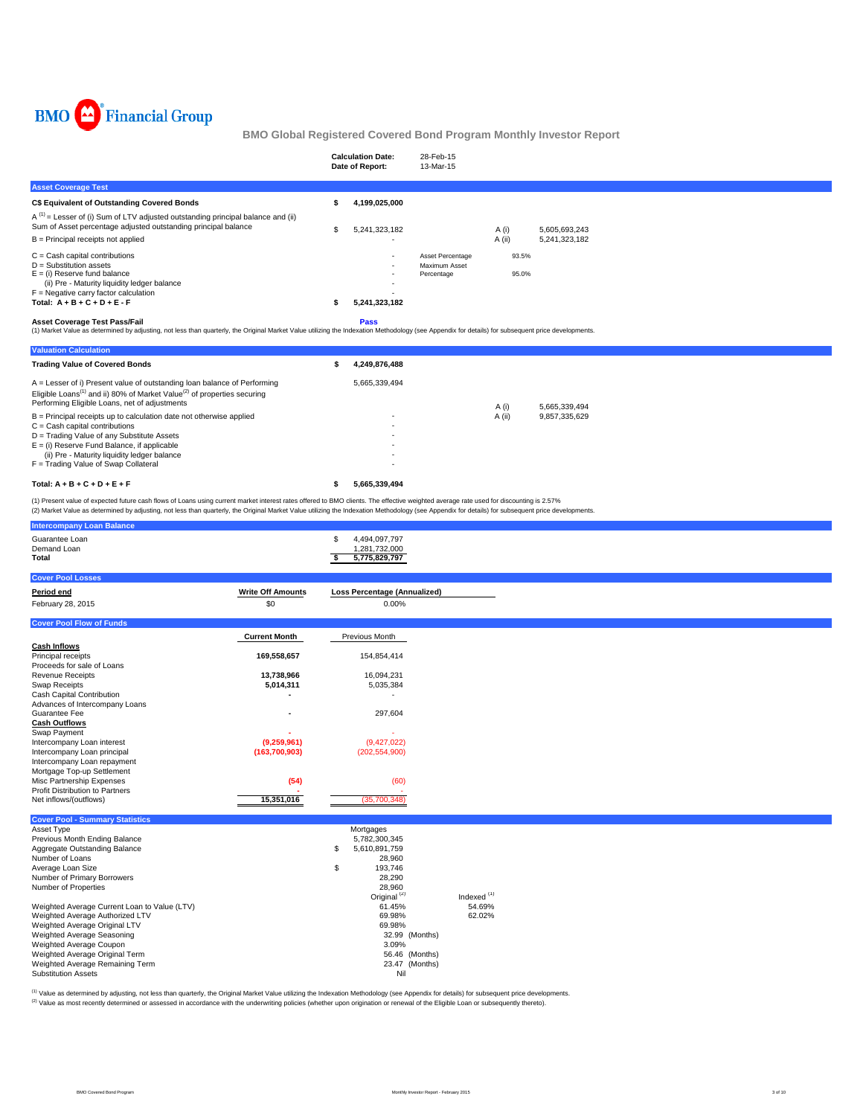

|                                                                                                                                                                                            | <b>Calculation Date:</b><br>Date of Report: | 28-Feb-15<br>13-Mar-15                          |                |               |
|--------------------------------------------------------------------------------------------------------------------------------------------------------------------------------------------|---------------------------------------------|-------------------------------------------------|----------------|---------------|
| <b>Asset Coverage Test</b>                                                                                                                                                                 |                                             |                                                 |                |               |
| C\$ Equivalent of Outstanding Covered Bonds                                                                                                                                                | 4,199,025,000                               |                                                 |                |               |
| $A^{(1)}$ = Lesser of (i) Sum of LTV adjusted outstanding principal balance and (ii)<br>Sum of Asset percentage adjusted outstanding principal balance                                     | 5,241,323,182                               |                                                 | A (i)          | 5,605,693,243 |
| $B =$ Principal receipts not applied                                                                                                                                                       |                                             |                                                 | A (ii)         | 5,241,323,182 |
| $C =$ Cash capital contributions<br>$D =$ Substitution assets<br>$E =$ (i) Reserve fund balance<br>(ii) Pre - Maturity liquidity ledger balance<br>$F =$ Negative carry factor calculation | . .                                         | Asset Percentage<br>Maximum Asset<br>Percentage | 93.5%<br>95.0% |               |
| Total: $A + B + C + D + E - F$                                                                                                                                                             | 5,241,323,182                               |                                                 |                |               |
| Accot Coverage Test Pace/Fail                                                                                                                                                              | <b>Dace</b>                                 |                                                 |                |               |

Asset Coverage Test Pass/Fail<br>(1) Market Value as determined by adjusting, not less than quarterly, the Original Market Value utilizing the Indexation Methodology (see Appendix for details) for subsequent price development

| <b>Valuation Calculation</b>                                                                                                                                                                                                 |               |        |               |
|------------------------------------------------------------------------------------------------------------------------------------------------------------------------------------------------------------------------------|---------------|--------|---------------|
| <b>Trading Value of Covered Bonds</b>                                                                                                                                                                                        | 4.249.876.488 |        |               |
| A = Lesser of i) Present value of outstanding loan balance of Performing<br>Eligible Loans <sup>(1)</sup> and ii) 80% of Market Value <sup>(2)</sup> of properties securing<br>Performing Eligible Loans, net of adjustments | 5.665.339.494 | A (i)  | 5.665.339.494 |
| $B =$ Principal receipts up to calculation date not otherwise applied                                                                                                                                                        |               | A (ii) | 9,857,335,629 |
| $C =$ Cash capital contributions                                                                                                                                                                                             |               |        |               |
| D = Trading Value of any Substitute Assets                                                                                                                                                                                   |               |        |               |
| $E =$ (i) Reserve Fund Balance, if applicable                                                                                                                                                                                |               |        |               |
| (ii) Pre - Maturity liquidity ledger balance                                                                                                                                                                                 |               |        |               |
| F = Trading Value of Swap Collateral                                                                                                                                                                                         |               |        |               |
| Total: $A + B + C + D + E + F$                                                                                                                                                                                               | 5.665.339.494 |        |               |

(1) Present value of expected future cash flows of Loans using current market interest rates offered to BMO clients. The effective weighted average rate used for discounting is 2.57%<br>(2) Market Value as determined by adjus

| Guarantee Loan<br>4,494,097,797<br>\$<br>Demand Loan<br>1,281,732,000<br>5,775,829,797<br>s.<br>Total<br><b>Cover Pool Losses</b> |
|-----------------------------------------------------------------------------------------------------------------------------------|
|                                                                                                                                   |
|                                                                                                                                   |
|                                                                                                                                   |
|                                                                                                                                   |
|                                                                                                                                   |
| <b>Write Off Amounts</b><br><b>Loss Percentage (Annualized)</b><br>Period end                                                     |
| \$0<br>February 28, 2015<br>0.00%                                                                                                 |
|                                                                                                                                   |
| <b>Cover Pool Flow of Funds</b>                                                                                                   |
| <b>Current Month</b><br>Previous Month                                                                                            |
| <b>Cash Inflows</b>                                                                                                               |
| Principal receipts<br>169,558,657<br>154,854,414                                                                                  |
| Proceeds for sale of Loans                                                                                                        |
| 13,738,966<br>16,094,231<br>Revenue Receipts                                                                                      |
| Swap Receipts<br>5,014,311<br>5,035,384                                                                                           |
| Cash Capital Contribution                                                                                                         |
| Advances of Intercompany Loans                                                                                                    |
| Guarantee Fee<br>297,604                                                                                                          |
| <b>Cash Outflows</b>                                                                                                              |
| Swap Payment                                                                                                                      |
| (9,259,961)<br>(9,427,022)<br>Intercompany Loan interest                                                                          |
| Intercompany Loan principal<br>(163,700,903)<br>(202, 554, 900)                                                                   |
| Intercompany Loan repayment                                                                                                       |
| Mortgage Top-up Settlement<br>Misc Partnership Expenses<br>(54)<br>(60)                                                           |
| Profit Distribution to Partners                                                                                                   |
| 15,351,016<br>(35,700,348)<br>Net inflows/(outflows)                                                                              |
|                                                                                                                                   |
| <b>Cover Pool - Summary Statistics</b>                                                                                            |
| Asset Type<br>Mortgages                                                                                                           |
| Previous Month Ending Balance<br>5,782,300,345                                                                                    |
| Aggregate Outstanding Balance<br>S<br>5,610,891,759                                                                               |
| Number of Loans<br>28,960                                                                                                         |
| Average Loan Size<br>\$<br>193,746                                                                                                |
| Number of Primary Borrowers<br>28,290                                                                                             |
| Number of Properties<br>28,960                                                                                                    |
| Indexed <sup>(1)</sup><br>Original <sup>(2)</sup>                                                                                 |
| 54.69%<br>Weighted Average Current Loan to Value (LTV)<br>61.45%<br>62.02%                                                        |
| Weighted Average Authorized LTV<br>69.98%<br>69.98%                                                                               |
| Weighted Average Original LTV<br>Weighted Average Seasoning<br>32.99 (Months)                                                     |
| Weighted Average Coupon<br>3.09%                                                                                                  |
| Weighted Average Original Term<br>56.46 (Months)                                                                                  |
| 23.47 (Months)<br>Weighted Average Remaining Term                                                                                 |
| <b>Substitution Assets</b><br>Nil                                                                                                 |

<sup>(1)</sup> Value as determined by adjusting, not less than quarterly, the Original Market Value utilizing the Indexation Methodology (see Appendix for details) for subsequent price developments. Value as determined by determined or assessed in accordance with the underwriting policies (whether upon origination or renewal of the Eligible Loan or subsequently thereto).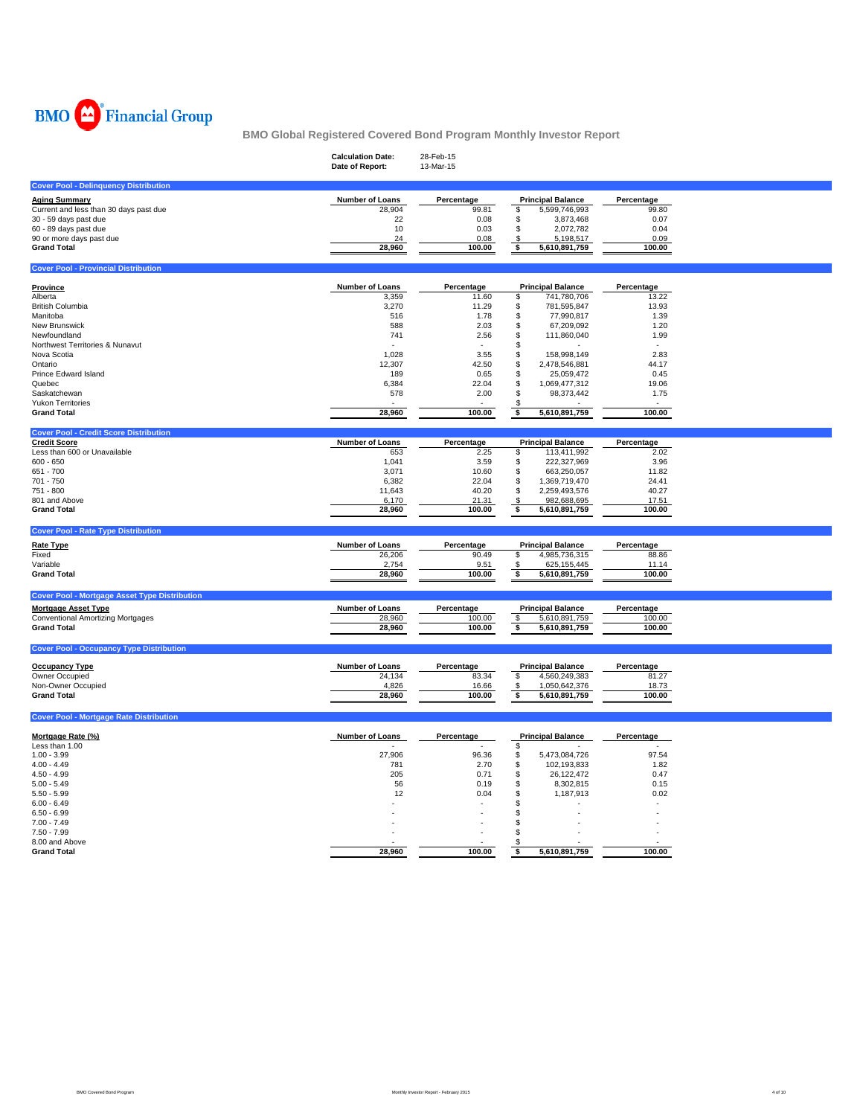

|                                                                      | <b>Calculation Date:</b><br>Date of Report: | 28-Feb-15<br>13-Mar-15 |                           |            |  |
|----------------------------------------------------------------------|---------------------------------------------|------------------------|---------------------------|------------|--|
| <b>Cover Pool - Delinquency Distribution</b>                         |                                             |                        |                           |            |  |
| <b>Aging Summary</b>                                                 | Number of Loans                             | Percentage             | <b>Principal Balance</b>  | Percentage |  |
| Current and less than 30 days past due                               | 28,904                                      | 99.81                  | 5,599,746,993<br>\$       | 99.80      |  |
| 30 - 59 days past due                                                | 22                                          | 0.08                   | \$<br>3,873,468           | 0.07       |  |
| 60 - 89 days past due                                                | 10                                          | 0.03                   | \$<br>2,072,782           | 0.04       |  |
| 90 or more days past due                                             | 24                                          | 0.08                   | \$<br>5,198,517           | 0.09       |  |
| <b>Grand Total</b>                                                   | 28,960                                      | 100.00                 | \$<br>5,610,891,759       | 100.00     |  |
| <b>Cover Pool - Provincial Distribution</b>                          |                                             |                        |                           |            |  |
| Province                                                             | Number of Loans                             | Percentage             | <b>Principal Balance</b>  | Percentage |  |
| Alberta                                                              | 3,359                                       | 11.60                  | \$<br>741,780,706         | 13.22      |  |
| <b>British Columbia</b>                                              | 3,270                                       | 11.29                  | \$<br>781,595,847         | 13.93      |  |
| Manitoba                                                             | 516                                         | 1.78                   | \$<br>77,990,817          | 1.39       |  |
| New Brunswick                                                        | 588                                         | 2.03                   | \$<br>67,209,092          | 1.20       |  |
| Newfoundland                                                         | 741                                         | 2.56                   | \$<br>111,860,040         | 1.99       |  |
| Northwest Territories & Nunavut                                      |                                             |                        | \$                        |            |  |
| Nova Scotia                                                          | 1.028                                       | 3.55                   | \$<br>158,998,149         | 2.83       |  |
| Ontario                                                              | 12,307                                      | 42.50                  | \$<br>2,478,546,881       | 44.17      |  |
| Prince Edward Island                                                 | 189                                         | 0.65                   | \$<br>25,059,472          | 0.45       |  |
|                                                                      |                                             |                        | \$                        |            |  |
| Quebec                                                               | 6,384                                       | 22.04                  | 1,069,477,312<br>\$       | 19.06      |  |
| Saskatchewan                                                         | 578                                         | 2.00                   | 98,373,442                | 1.75       |  |
| <b>Yukon Territories</b><br><b>Grand Total</b>                       | 28,960                                      | 100.00                 | \$<br>\$<br>5,610,891,759 | 100.00     |  |
|                                                                      |                                             |                        |                           |            |  |
| <b>Cover Pool - Credit Score Distribution</b><br><b>Credit Score</b> | Number of Loans                             | Percentage             | <b>Principal Balance</b>  | Percentage |  |
| Less than 600 or Unavailable                                         | 653                                         | 2.25                   | 113,411,992<br>\$         | 2.02       |  |
| $600 - 650$                                                          | 1,041                                       | 3.59                   | \$<br>222,327,969         | 3.96       |  |
| 651 - 700                                                            | 3,071                                       | 10.60                  | \$<br>663,250,057         | 11.82      |  |
| 701 - 750                                                            | 6,382                                       | 22.04                  | \$<br>1,369,719,470       | 24.41      |  |
| 751 - 800                                                            | 11,643                                      | 40.20                  | \$<br>2,259,493,576       | 40.27      |  |
| 801 and Above                                                        | 6,170                                       | 21.31                  | \$<br>982,688,695         | 17.51      |  |
| <b>Grand Total</b>                                                   | 28,960                                      | 100.00                 | \$<br>5,610,891,759       | 100.00     |  |
|                                                                      |                                             |                        |                           |            |  |
| <b>Cover Pool - Rate Type Distribution</b>                           |                                             |                        |                           |            |  |
| <b>Rate Type</b>                                                     | Number of Loans                             | Percentage             | <b>Principal Balance</b>  | Percentage |  |
| Fixed                                                                | 26,206                                      | 90.49                  | \$<br>4,985,736,315       | 88.86      |  |
| Variable                                                             | 2,754                                       | 9.51                   | 625,155,445<br>\$         | 11.14      |  |
| <b>Grand Total</b>                                                   | 28,960                                      | 100.00                 | \$<br>5,610,891,759       | 100.00     |  |
| <b>Cover Pool - Mortgage Asset Type Distribution</b>                 |                                             |                        |                           |            |  |
| <b>Mortgage Asset Type</b>                                           | Number of Loans                             | Percentage             | <b>Principal Balance</b>  | Percentage |  |
| <b>Conventional Amortizing Mortgages</b>                             | 28,960                                      | 100.00                 | \$<br>5,610,891,759       | 100.00     |  |
| <b>Grand Total</b>                                                   | 28,960                                      | 100.00                 | \$<br>5,610,891,759       | 100.00     |  |
| <b>Cover Pool - Occupancy Type Distribution</b>                      |                                             |                        |                           |            |  |
|                                                                      |                                             |                        |                           |            |  |
| <b>Occupancy Type</b>                                                | Number of Loans                             | Percentage             | <b>Principal Balance</b>  | Percentage |  |
| Owner Occupied                                                       | 24,134                                      | 83.34                  | \$<br>4,560,249,383       | 81.27      |  |
| Non-Owner Occupied                                                   | 4,826                                       | 16.66                  | 1,050,642,376<br>\$       | 18.73      |  |
| <b>Grand Total</b>                                                   | 28,960                                      | 100.00                 | 5,610,891,759<br>\$       | 100.00     |  |
| <b>Cover Pool - Mortgage Rate Distribution</b>                       |                                             |                        |                           |            |  |
| Mortgage Rate (%)                                                    | <b>Number of Loans</b>                      | Percentage             | <b>Principal Balance</b>  | Percentage |  |
| Less than 1.00                                                       |                                             |                        | \$                        |            |  |
| $1.00 - 3.99$                                                        | 27,906                                      | 96.36                  | \$<br>5,473,084,726       | 97.54      |  |
| $4.00 - 4.49$                                                        | 781                                         | 2.70                   | \$<br>102,193,833         | 1.82       |  |
| $4.50 - 4.99$                                                        | 205                                         | 0.71                   | \$<br>26,122,472          | 0.47       |  |
| $5.00 - 5.49$                                                        | 56                                          | 0.19                   | \$<br>8,302,815           | 0.15       |  |
| $5.50 - 5.99$                                                        | 12                                          | 0.04                   | \$<br>1,187,913           | 0.02       |  |
| $6.00 - 6.49$                                                        |                                             |                        | \$                        |            |  |
| $6.50 - 6.99$                                                        |                                             |                        | \$                        |            |  |
| $7.00 - 7.49$                                                        |                                             |                        | \$                        |            |  |
| $7.50 - 7.99$                                                        |                                             |                        | S                         |            |  |
| 8.00 and Above                                                       |                                             |                        | \$                        |            |  |
| <b>Grand Total</b>                                                   | 28.960                                      | 100.00                 | 5,610,891,759<br>\$       | 100.00     |  |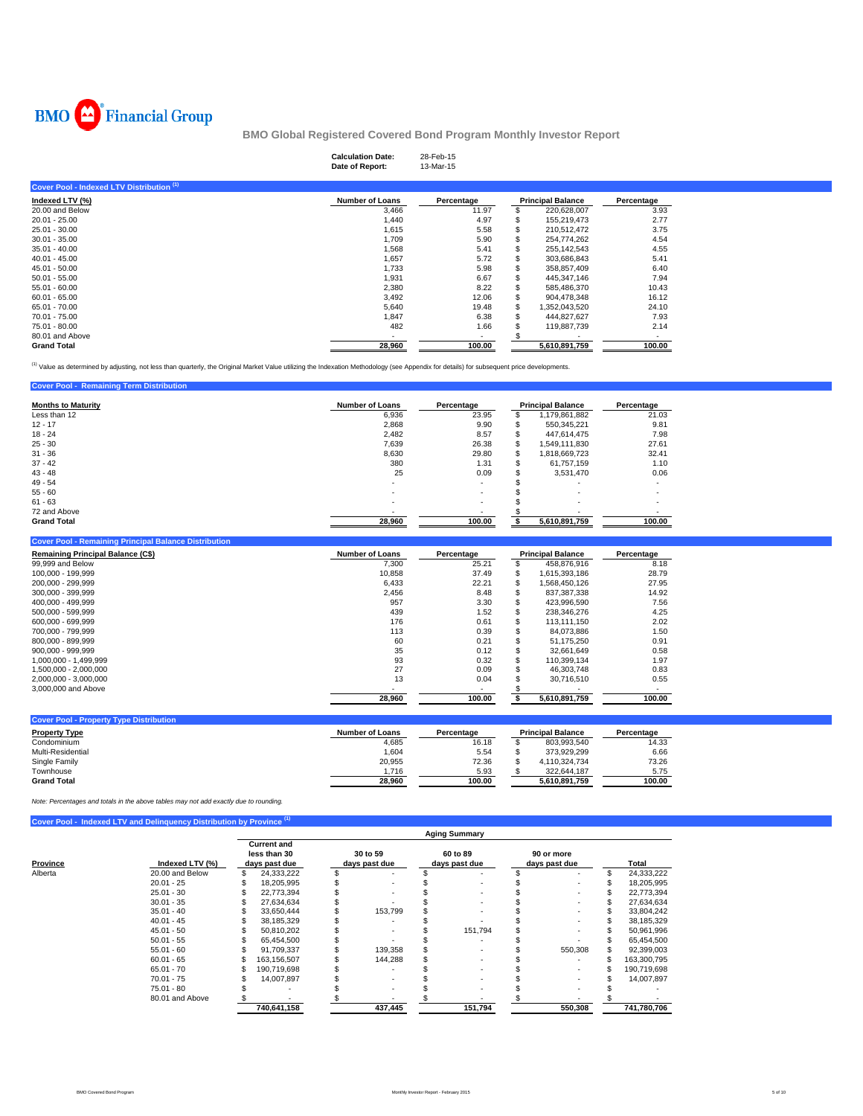

| <b>Calculation Date:</b><br>Date of Report: | 28-Feb-15<br>13-Mar-15   |               |                          |  |
|---------------------------------------------|--------------------------|---------------|--------------------------|--|
|                                             |                          |               |                          |  |
| <b>Number of Loans</b>                      | Percentage               |               | Percentage               |  |
| 3,466                                       | 11.97                    | 220,628,007   | 3.93                     |  |
| 1,440                                       | 4.97                     | 155,219,473   | 2.77                     |  |
| 1,615                                       | 5.58                     | 210,512,472   | 3.75                     |  |
| 1,709                                       | 5.90                     | 254,774,262   | 4.54                     |  |
| 1,568                                       | 5.41                     | 255,142,543   | 4.55                     |  |
| 1,657                                       | 5.72                     | 303,686,843   | 5.41                     |  |
| 1,733                                       | 5.98                     | 358,857,409   | 6.40                     |  |
| 1,931                                       | 6.67                     | 445,347,146   | 7.94                     |  |
| 2,380                                       | 8.22                     | 585,486,370   | 10.43                    |  |
| 3,492                                       | 12.06                    | 904.478.348   | 16.12                    |  |
| 5,640                                       | 19.48                    | 1,352,043,520 | 24.10                    |  |
| 1,847                                       | 6.38                     | 444,827,627   | 7.93                     |  |
| 482                                         | 1.66                     | 119,887,739   | 2.14                     |  |
|                                             | $\overline{\phantom{a}}$ |               |                          |  |
| 28,960                                      | 100.00                   | 5,610,891,759 | 100.00                   |  |
|                                             |                          |               | <b>Principal Balance</b> |  |

<sup>(1)</sup> Value as determined by adjusting, not less than quarterly, the Original Market Value utilizing the Indexation Methodology (see Appendix for details) for subsequent price developments.

| <b>Cover Pool - Remaining Term Distribution</b> |                        |            |     |                          |                          |
|-------------------------------------------------|------------------------|------------|-----|--------------------------|--------------------------|
| <b>Months to Maturity</b>                       | <b>Number of Loans</b> | Percentage |     | <b>Principal Balance</b> | Percentage               |
| Less than 12                                    | 6,936                  | 23.95      |     | 1,179,861,882            | 21.03                    |
| $12 - 17$                                       | 2,868                  | 9.90       | ъ   | 550.345.221              | 9.81                     |
| $18 - 24$                                       | 2.482                  | 8.57       | S   | 447.614.475              | 7.98                     |
| $25 - 30$                                       | 7,639                  | 26.38      | \$  | 1.549.111.830            | 27.61                    |
| $31 - 36$                                       | 8.630                  | 29.80      | \$. | 1.818.669.723            | 32.41                    |
| $37 - 42$                                       | 380                    | 1.31       | S   | 61.757.159               | 1.10                     |
| $43 - 48$                                       | 25                     | 0.09       | э   | 3,531,470                | 0.06                     |
| $49 - 54$                                       | ۰.                     |            |     |                          | $\overline{\phantom{a}}$ |
| $55 - 60$                                       |                        |            |     | $\overline{\phantom{a}}$ | $\overline{\phantom{a}}$ |
| $61 - 63$                                       | ۰                      | ٠          |     | ۰                        | $\overline{\phantom{a}}$ |
| 72 and Above                                    |                        |            |     |                          |                          |
| <b>Grand Total</b>                              | 28,960                 | 100.00     |     | 5.610.891.759            | 100.00                   |

| <b>Cover Pool - Remaining Principal Balance Distribution</b> |                        |            |    |                          |            |
|--------------------------------------------------------------|------------------------|------------|----|--------------------------|------------|
| <b>Remaining Principal Balance (C\$)</b>                     | <b>Number of Loans</b> | Percentage |    | <b>Principal Balance</b> | Percentage |
| 99,999 and Below                                             | 7,300                  | 25.21      |    | 458.876.916              | 8.18       |
| 100.000 - 199.999                                            | 10.858                 | 37.49      | S. | 1.615.393.186            | 28.79      |
| 200.000 - 299.999                                            | 6.433                  | 22.21      |    | .568.450.126             | 27.95      |
| 300.000 - 399.999                                            | 2,456                  | 8.48       |    | 837.387.338              | 14.92      |
| 400.000 - 499.999                                            | 957                    | 3.30       |    | 423.996.590              | 7.56       |
| 500.000 - 599.999                                            | 439                    | 1.52       | ъ  | 238.346.276              | 4.25       |
| 600.000 - 699.999                                            | 176                    | 0.61       | S  | 113.111.150              | 2.02       |
| 700.000 - 799.999                                            | 113                    | 0.39       |    | 84.073.886               | 1.50       |
| 800.000 - 899.999                                            | 60                     | 0.21       |    | 51.175.250               | 0.91       |
| 900.000 - 999.999                                            | 35                     | 0.12       |    | 32.661.649               | 0.58       |
| 1.000.000 - 1.499.999                                        | 93                     | 0.32       | S  | 110.399.134              | 1.97       |
| 1.500.000 - 2.000.000                                        | 27                     | 0.09       |    | 46.303.748               | 0.83       |
| 2.000.000 - 3.000.000                                        | 13                     | 0.04       |    | 30.716.510               | 0.55       |
| 3,000,000 and Above                                          |                        |            |    |                          |            |
|                                                              | 28.960                 | 100.00     |    | 5.610.891.759            | 100.00     |

| <b>Cover Pool - Property Type Distribution</b> |                 |            |                          |            |
|------------------------------------------------|-----------------|------------|--------------------------|------------|
| <b>Property Type</b>                           | Number of Loans | Percentage | <b>Principal Balance</b> | Percentage |
| Condominium                                    | 4,685           | 16.18      | 803.993.540              | 14.33      |
| Multi-Residential                              | 1.604           | 5.54       | 373.929.299              | 6.66       |
| Single Family                                  | 20.955          | 72.36      | 4.110.324.734            | 73.26      |
| Townhouse                                      | .716            | 5.93       | 322.644.187              | 5.75       |
| <b>Grand Total</b>                             | 28.960          | 100.00     | 5.610.891.759            | 100.00     |

*Note: Percentages and totals in the above tables may not add exactly due to rounding.*

**Cover Pool - Indexed LTV and Delinquency Distribution by Pro** 

|          |                 |                                                     |                           | <b>Aging Summary</b>      |                             |             |
|----------|-----------------|-----------------------------------------------------|---------------------------|---------------------------|-----------------------------|-------------|
| Province | Indexed LTV (%) | <b>Current and</b><br>less than 30<br>days past due | 30 to 59<br>days past due | 60 to 89<br>days past due | 90 or more<br>days past due | Total       |
| Alberta  | 20.00 and Below | 24,333,222                                          |                           |                           |                             | 24,333,222  |
|          | $20.01 - 25$    | 18,205,995                                          |                           |                           |                             | 18,205,995  |
|          | $25.01 - 30$    | 22,773,394                                          | ٠                         |                           |                             | 22,773,394  |
|          | $30.01 - 35$    | 27,634,634                                          |                           |                           |                             | 27,634,634  |
|          | $35.01 - 40$    | 33,650,444                                          | 153,799                   |                           |                             | 33,804,242  |
|          | $40.01 - 45$    | 38,185,329                                          |                           |                           |                             | 38,185,329  |
|          | $45.01 - 50$    | 50,810,202                                          |                           | 151.794                   |                             | 50,961,996  |
|          | $50.01 - 55$    | 65,454,500                                          |                           |                           |                             | 65,454,500  |
|          | $55.01 - 60$    | 91,709,337                                          | 139,358                   |                           | 550,308                     | 92,399,003  |
|          | $60.01 - 65$    | 163.156.507                                         | 144,288                   |                           |                             | 163,300,795 |
|          | $65.01 - 70$    | 190.719.698                                         |                           |                           |                             | 190,719,698 |
|          | $70.01 - 75$    | 14,007,897                                          |                           |                           |                             | 14,007,897  |
|          | 75.01 - 80      | $\overline{\phantom{a}}$                            | ٠                         |                           |                             |             |
|          | 80.01 and Above |                                                     |                           |                           |                             |             |
|          |                 | 740,641,158                                         | 437,445                   | 151,794                   | 550,308                     | 741,780,706 |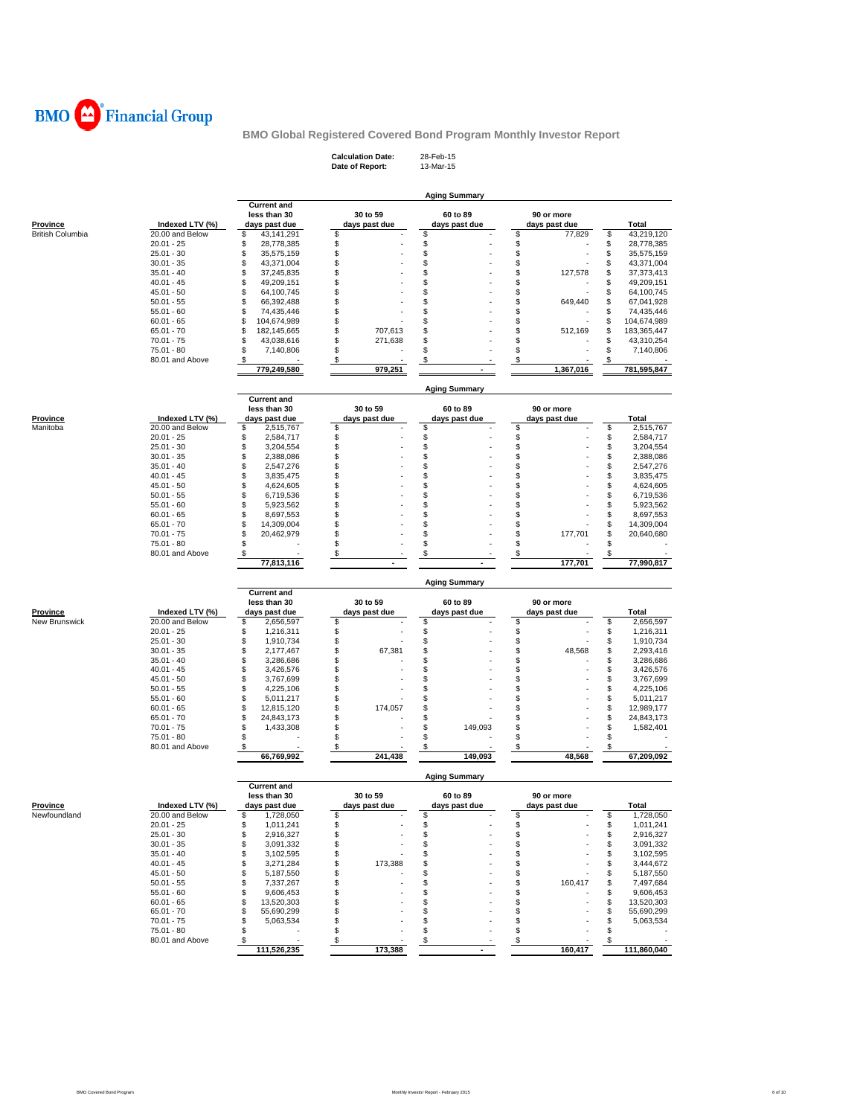

**Calculation Date:** 28-Feb-15 **Date of Report:** 13-Mar-15

|                           |                                 |                                    |               | <b>Aging Summary</b> |                 |          |                        |
|---------------------------|---------------------------------|------------------------------------|---------------|----------------------|-----------------|----------|------------------------|
|                           |                                 | <b>Current and</b><br>less than 30 | 30 to 59      | 60 to 89             | 90 or more      |          |                        |
| <b>Province</b>           | Indexed LTV (%)                 | days past due                      | days past due | days past due        | days past due   |          | Total                  |
| <b>British Columbia</b>   | 20.00 and Below                 | \$<br>43,141,291                   | \$            | \$                   | \$<br>77,829    | \$       | 43,219,120             |
|                           | $20.01 - 25$                    | \$<br>28,778,385                   | \$            | \$                   | \$              | \$       | 28,778,385             |
|                           | $25.01 - 30$                    | \$<br>35,575,159                   | \$            | \$                   | \$              | \$       | 35,575,159             |
|                           | $30.01 - 35$                    | \$<br>43,371,004                   | \$            | \$                   | \$              | \$       | 43,371,004             |
|                           | $35.01 - 40$                    | \$<br>37,245,835                   | \$            | \$                   | \$<br>127,578   | \$       | 37,373,413             |
|                           | $40.01 - 45$                    | \$<br>49,209,151                   | \$            | \$                   | \$              | \$       | 49,209,151             |
|                           | $45.01 - 50$                    | \$<br>64,100,745                   | \$<br>\$      | \$                   | \$              | \$       | 64,100,745             |
|                           | $50.01 - 55$                    | \$<br>66,392,488                   |               | \$                   | \$<br>649,440   | \$       | 67,041,928             |
|                           | $55.01 - 60$                    | \$<br>74,435,446                   | \$            | \$                   | \$              | \$       | 74,435,446             |
|                           | $60.01 - 65$                    | \$<br>104,674,989                  | \$            | \$                   | \$              | \$       | 104,674,989            |
|                           | $65.01 - 70$                    | \$<br>182,145,665                  | \$<br>707,613 | \$                   | \$<br>512,169   | \$       | 183,365,447            |
|                           | $70.01 - 75$                    | \$<br>43,038,616                   | \$<br>271,638 | \$                   | \$              | \$       | 43,310,254             |
|                           | 75.01 - 80                      | \$<br>7,140,806                    | \$            | \$                   | \$              | \$       | 7,140,806              |
|                           | 80.01 and Above                 | \$<br>779,249,580                  | \$<br>979,251 | \$                   | \$<br>1,367,016 | \$       | 781,595,847            |
|                           |                                 |                                    |               | <b>Aging Summary</b> |                 |          |                        |
|                           |                                 | <b>Current and</b><br>less than 30 | 30 to 59      | 60 to 89             | 90 or more      |          |                        |
| <b>Province</b>           | Indexed LTV (%)                 | days past due                      | days past due | days past due        | days past due   |          | Total                  |
| Manitoba                  | 20.00 and Below                 | \$<br>2,515,767                    | \$            | \$                   | \$              | \$       | 2,515,767              |
|                           | $20.01 - 25$                    | \$<br>2,584,717                    | \$            | \$                   | \$              | \$       | 2,584,717              |
|                           | $25.01 - 30$                    | \$<br>3,204,554                    | \$            | \$                   | \$              | \$       | 3,204,554              |
|                           | $30.01 - 35$                    | \$<br>2,388,086                    | \$            | \$                   | \$              | \$       | 2,388,086              |
|                           | $35.01 - 40$                    | \$<br>2,547,276                    | \$            | \$                   | \$              | \$       | 2,547,276              |
|                           | $40.01 - 45$                    | \$<br>3,835,475                    | \$            | \$                   | \$              | \$       | 3,835,475              |
|                           | $45.01 - 50$                    | \$<br>4,624,605                    | \$            | \$                   | \$              | \$       | 4,624,605              |
|                           | $50.01 - 55$                    | \$                                 | \$            | \$                   | \$              | \$       |                        |
|                           | $55.01 - 60$                    | 6,719,536<br>\$                    | Ŝ             | \$                   | \$              | \$       | 6,719,536<br>5,923,562 |
|                           | $60.01 - 65$                    | 5,923,562<br>\$                    | \$            | \$                   | \$              | \$       |                        |
|                           | $65.01 - 70$                    | 8,697,553<br>\$                    | \$            | \$                   | \$              |          | 8,697,553              |
|                           |                                 | 14,309,004<br>\$                   | \$            | \$                   | \$              | \$<br>\$ | 14,309,004             |
|                           | 70.01 - 75                      | 20,462,979<br>\$                   | \$            |                      | 177,701<br>\$   | \$       | 20,640,680             |
|                           | 75.01 - 80                      |                                    |               | \$                   |                 |          |                        |
|                           | 80.01 and Above                 | \$<br>77,813,116                   | \$            | \$                   | \$<br>177,701   | \$       | 77,990,817             |
|                           |                                 |                                    |               | <b>Aging Summary</b> |                 |          |                        |
|                           |                                 | <b>Current and</b>                 |               |                      |                 |          |                        |
|                           |                                 | less than 30                       | 30 to 59      | 60 to 89             | 90 or more      |          |                        |
| Province<br>New Brunswick | Indexed LTV (%)                 | days past due                      | days past due | days past due        | days past due   |          | Total                  |
|                           | 20.00 and Below<br>$20.01 - 25$ | \$<br>2,656,597<br>\$              | \$            | \$<br>\$             | \$<br>\$        | \$<br>\$ | 2,656,597              |
|                           |                                 | 1,216,311                          | \$            |                      |                 |          | 1,216,311              |
|                           | $25.01 - 30$                    | \$<br>1,910,734                    | \$            | \$                   | \$<br>\$        | \$       | 1,910,734              |
|                           | $30.01 - 35$                    | \$<br>2,177,467                    | \$<br>67,381  | \$                   | 48,568          | \$       | 2,293,416              |
|                           | $35.01 - 40$                    | \$<br>3,286,686                    | \$            | \$                   | \$              | \$       | 3,286,686              |
|                           | $40.01 - 45$                    | \$<br>3,426,576                    | \$            | \$                   | \$              | \$       | 3,426,576              |
|                           | $45.01 - 50$                    | \$<br>3,767,699                    | \$            | \$                   | \$              | \$       | 3,767,699              |
|                           | $50.01 - 55$                    | \$<br>4,225,106                    | \$            | \$                   | \$              | \$       | 4,225,106              |
|                           | $55.01 - 60$                    | \$<br>5,011,217                    | \$            | \$                   | \$              | \$       | 5,011,217              |
|                           | $60.01 - 65$                    | \$<br>12,815,120                   | \$<br>174,057 | \$                   | \$              | \$       | 12,989,177             |
|                           | $65.01 - 70$                    | \$<br>24,843,173                   | \$            | \$                   | \$              | \$       | 24,843,173             |
|                           | $70.01 - 75$                    | \$<br>1,433,308                    | \$            | \$<br>149,093        | \$              | \$       | 1,582,401              |
|                           | 75.01 - 80                      | \$                                 | \$            | \$                   | \$              | \$       |                        |
|                           | 80.01 and Above                 | \$<br>66,769,992                   | \$<br>241,438 | \$<br>149,093        | \$<br>48,568    | \$       | 67,209,092             |
|                           |                                 |                                    |               | <b>Aging Summary</b> |                 |          |                        |
|                           |                                 | <b>Current and</b><br>less than 30 | 30 to 59      | 60 to 89             | 90 or more      |          |                        |
| Province                  | Indexed LTV (%)                 | days past due                      | days past due | days past due        | days past due   |          | Total                  |
| Newfoundland              | 20.00 and Below                 | 1,728,050                          |               |                      |                 |          | 1,728,050              |
|                           | $20.01 - 25$                    | \$<br>1,011,241                    | \$            | \$                   | \$              | \$       | 1,011,241              |
|                           | $25.01 - 30$                    | \$<br>2,916,327                    | \$            | \$                   | \$              | \$       | 2,916,327              |
|                           | $30.01 - 35$                    | \$<br>3,091,332                    | \$            | \$                   | \$              | \$       | 3,091,332              |
|                           | $35.01 - 40$                    | \$<br>3,102,595                    | \$            | \$                   | \$              | \$       | 3,102,595              |
|                           | $40.01 - 45$                    | \$<br>3,271,284                    | 173,388<br>\$ | \$                   | \$              | \$       | 3,444,672              |
|                           | $45.01 - 50$                    | \$                                 | \$            | \$                   | \$              |          | 5,187,550              |
|                           |                                 | 5,187,550                          |               |                      | \$              | \$       |                        |
|                           | $50.01 - 55$<br>$55.01 - 60$    | \$<br>7,337,267<br>\$              | \$<br>\$      | \$<br>\$             | 160,417         | \$       | 7,497,684              |
|                           |                                 | 9,606,453                          |               |                      | \$              | \$       | 9,606,453              |
|                           | $60.01 - 65$                    | \$<br>13,520,303                   | \$            | \$                   | \$              | \$       | 13,520,303             |
|                           | $65.01 - 70$                    | \$<br>55,690,299                   | \$            | \$                   | \$              | \$       | 55,690,299             |
|                           | $70.01 - 75$                    | \$<br>5,063,534                    | \$            | \$                   | \$              | \$       | 5,063,534              |
|                           | 75.01 - 80<br>80.01 and Above   | \$<br>\$                           | \$<br>\$      | \$<br>\$             | \$<br>\$        | \$<br>S  |                        |
|                           |                                 |                                    |               |                      |                 |          |                        |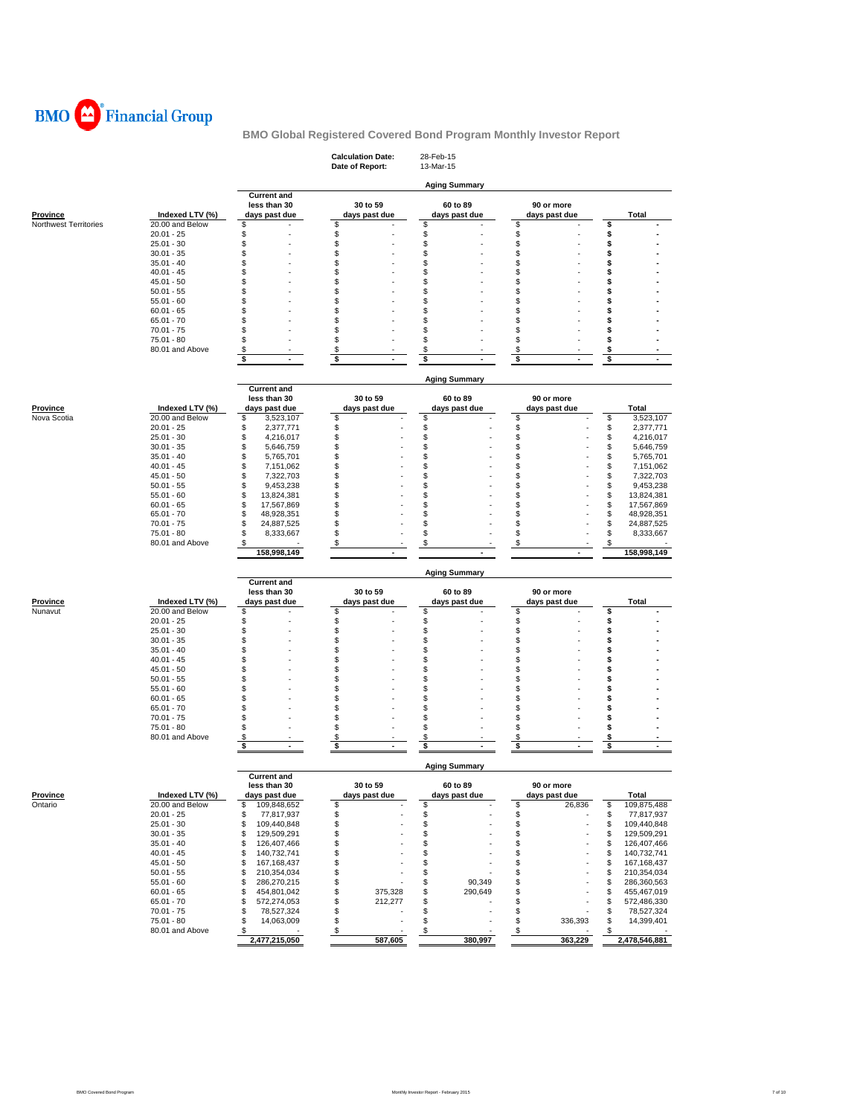

|                                |                                    |                               | <b>Calculation Date:</b><br>Date of Report: | 28-Feb-15<br>13-Mar-15     |                             |                     |
|--------------------------------|------------------------------------|-------------------------------|---------------------------------------------|----------------------------|-----------------------------|---------------------|
|                                |                                    | <b>Current and</b>            |                                             | <b>Aging Summary</b>       |                             |                     |
| Province                       | Indexed LTV (%)                    | less than 30<br>days past due | 30 to 59<br>days past due                   | 60 to 89<br>days past due  | 90 or more<br>days past due | Total               |
| Northwest Territories          | 20.00 and Below                    | \$                            | \$                                          | \$                         | \$                          | \$                  |
|                                | $20.01 - 25$                       | \$                            | \$                                          | \$                         | \$                          | \$                  |
|                                | $25.01 - 30$                       | \$                            | \$                                          | \$                         | \$                          | \$                  |
|                                | $30.01 - 35$                       | \$                            | \$                                          | \$                         | \$                          | \$                  |
|                                | $35.01 - 40$                       | \$                            | \$                                          | \$                         | \$                          | \$                  |
|                                | $40.01 - 45$                       | \$                            | \$                                          | \$                         | \$                          | \$                  |
|                                | $45.01 - 50$                       | \$                            | \$                                          | \$                         | \$                          | \$                  |
|                                | $50.01 - 55$                       | \$                            | \$                                          | \$                         | \$                          | \$                  |
|                                | $55.01 - 60$                       | \$                            | \$                                          | \$                         | S                           | \$                  |
|                                | $60.01 - 65$                       | \$                            | \$                                          | \$                         | \$                          | \$                  |
|                                | $65.01 - 70$                       | \$                            | \$                                          | \$                         | \$                          | \$                  |
|                                | $70.01 - 75$                       | \$                            | \$                                          | \$                         | \$                          | \$                  |
|                                | 75.01 - 80                         | \$                            | \$                                          | \$                         | \$                          | \$                  |
|                                | 80.01 and Above                    | \$                            | \$                                          | \$                         | \$                          | \$                  |
|                                |                                    | \$<br>$\blacksquare$          | \$<br>$\tilde{\phantom{a}}$                 | \$<br>$\ddot{\phantom{1}}$ | \$<br>$\ddot{\phantom{1}}$  | \$                  |
|                                |                                    |                               |                                             |                            |                             |                     |
|                                |                                    |                               |                                             |                            |                             |                     |
|                                |                                    | <b>Current and</b>            |                                             | <b>Aging Summary</b>       |                             |                     |
|                                |                                    | less than 30                  | 30 to 59                                    | 60 to 89                   | 90 or more                  |                     |
|                                |                                    |                               |                                             |                            |                             |                     |
| <b>Province</b><br>Nova Scotia | Indexed LTV (%)<br>20.00 and Below | days past due<br>\$           | days past due<br>\$                         | days past due              | days past due               | Total<br>\$         |
|                                |                                    | 3,523,107                     | \$                                          | \$<br>\$                   | \$<br>\$                    | 3,523,107<br>\$     |
|                                | $20.01 - 25$                       | \$<br>2,377,771               |                                             |                            |                             | 2,377,771           |
|                                | $25.01 - 30$                       | \$<br>4,216,017               | \$                                          | \$                         | \$                          | \$<br>4,216,017     |
|                                | $30.01 - 35$                       | \$<br>5,646,759               | \$                                          | \$                         | \$                          | \$<br>5,646,759     |
|                                | $35.01 - 40$<br>$40.01 - 45$       | \$<br>5,765,701               | \$                                          | \$                         | \$                          | \$<br>5,765,701     |
|                                |                                    | \$<br>7,151,062               | \$                                          | \$                         | \$                          | \$<br>7,151,062     |
|                                | $45.01 - 50$                       | \$<br>7,322,703               | \$                                          | \$                         | \$                          | \$<br>7,322,703     |
|                                | $50.01 - 55$                       | \$<br>9,453,238               | \$                                          | \$                         | \$                          | \$<br>9,453,238     |
|                                | $55.01 - 60$                       | \$<br>13,824,381              | \$                                          | \$                         | \$                          | \$<br>13,824,381    |
|                                | $60.01 - 65$                       | \$<br>17,567,869              | \$                                          | \$                         | \$                          | \$<br>17,567,869    |
|                                | $65.01 - 70$                       | \$<br>48,928,351              | \$                                          | \$                         | \$                          | \$<br>48,928,351    |
|                                | $70.01 - 75$                       | \$<br>24,887,525              | \$                                          | \$                         | \$                          | \$<br>24,887,525    |
|                                | 75.01 - 80                         | \$<br>8,333,667               | \$                                          | \$                         | \$                          | \$<br>8,333,667     |
|                                | 80.01 and Above                    | \$                            | \$                                          | \$                         | \$                          | \$                  |
|                                |                                    | 158,998,149                   |                                             |                            |                             | 158,998,149         |
|                                |                                    |                               |                                             |                            |                             |                     |
|                                |                                    |                               |                                             | <b>Aging Summary</b>       |                             |                     |
|                                |                                    | <b>Current and</b>            |                                             |                            |                             |                     |
|                                |                                    | less than 30                  | 30 to 59                                    | 60 to 89                   | 90 or more                  |                     |
| Province                       | Indexed LTV (%)                    | days past due                 | days past due                               | days past due              | days past due               | Total               |
| Nunavut                        | 20.00 and Below                    | \$                            | \$                                          | \$                         | \$                          | \$                  |
|                                | $20.01 - 25$                       | \$                            | \$                                          | \$                         | \$                          | \$                  |
|                                | $25.01 - 30$                       | \$                            | \$                                          | \$                         | \$                          | \$                  |
|                                | $30.01 - 35$                       | \$                            | \$                                          | \$                         | \$                          | \$                  |
|                                | $35.01 - 40$                       | \$                            | \$                                          | \$                         |                             |                     |
|                                | $40.01 - 45$                       | \$                            |                                             |                            | \$                          | \$                  |
|                                |                                    |                               | \$                                          | \$                         | \$                          | \$                  |
|                                | $45.01 - 50$                       | \$                            | \$                                          | \$                         | S                           | \$                  |
|                                | $50.01 - 55$                       | \$                            | \$                                          | \$                         | \$                          | \$                  |
|                                | $55.01 - 60$                       | \$                            | \$                                          | \$                         | \$                          | \$                  |
|                                | $60.01 - 65$                       | \$                            | \$                                          | \$                         | \$                          | \$                  |
|                                | $65.01 - 70$                       | \$                            | \$                                          | \$                         | \$                          | \$                  |
|                                | $70.01 - 75$                       | \$                            | \$                                          | \$                         | \$                          | \$                  |
|                                | 75.01 - 80                         | \$                            | \$                                          | \$                         | \$                          | \$                  |
|                                | 80.01 and Above                    | \$                            |                                             | \$                         | \$                          | \$                  |
|                                |                                    | $\blacksquare$                | \$<br>$\blacksquare$                        | $\sim$                     | $\sim$                      | $\blacksquare$      |
|                                |                                    | \$                            | \$                                          | \$                         | \$                          | \$                  |
|                                |                                    |                               |                                             |                            |                             |                     |
|                                |                                    | <b>Current and</b>            |                                             | <b>Aging Summary</b>       |                             |                     |
|                                |                                    |                               |                                             |                            |                             |                     |
|                                |                                    | less than 30                  | 30 to 59                                    | 60 to 89                   | 90 or more                  |                     |
| <b>Province</b>                | Indexed LTV (%)                    | days past due                 | days past due                               | days past due              | days past due               | Total               |
| Ontario                        | 20.00 and Below                    | \$<br>109,848,652             | \$                                          | \$                         | \$<br>26,836                | \$<br>109,875,488   |
|                                | $20.01 - 25$                       | \$<br>77,817,937              | \$                                          | \$                         | \$                          | \$<br>77,817,937    |
|                                | 25.01 - 30                         | \$<br>109,440,848             | \$                                          | \$                         | \$                          | \$<br>109,440,848   |
|                                | $30.01 - 35$                       | \$<br>129,509,291             | \$                                          | \$                         | \$                          | \$<br>129,509,291   |
|                                | $35.01 - 40$                       | \$<br>126,407,466             | \$                                          | \$                         | \$                          | \$<br>126,407,466   |
|                                | $40.01 - 45$                       | \$<br>140,732,741             | \$                                          | \$                         | \$                          | \$<br>140,732,741   |
|                                | 45.01 - 50                         | \$<br>167,168,437             | \$                                          | \$                         | \$                          | \$<br>167,168,437   |
|                                | $50.01 - 55$                       | \$<br>210,354,034             | \$                                          | \$                         | \$                          | \$<br>210,354,034   |
|                                | $55.01 - 60$                       | \$<br>286,270,215             | \$                                          | \$<br>90,349               | \$                          | \$<br>286,360,563   |
|                                | $60.01 - 65$                       | \$<br>454,801,042             | \$<br>375,328                               | \$<br>290,649              | \$                          | \$<br>455,467,019   |
|                                | 65.01 - 70                         | \$<br>572,274,053             | \$<br>212,277                               | \$                         | \$                          | \$<br>572,486,330   |
|                                | $70.01 - 75$                       | \$<br>78,527,324              | \$                                          | \$                         | \$                          | \$<br>78,527,324    |
|                                | 75.01 - 80                         | \$<br>14,063,009              | \$                                          | \$                         | \$<br>336,393               | \$<br>14,399,401    |
|                                | 80.01 and Above                    | \$<br>2,477,215,050           | \$<br>587,605                               | \$<br>380,997              | \$<br>363,229               | \$<br>2,478,546,881 |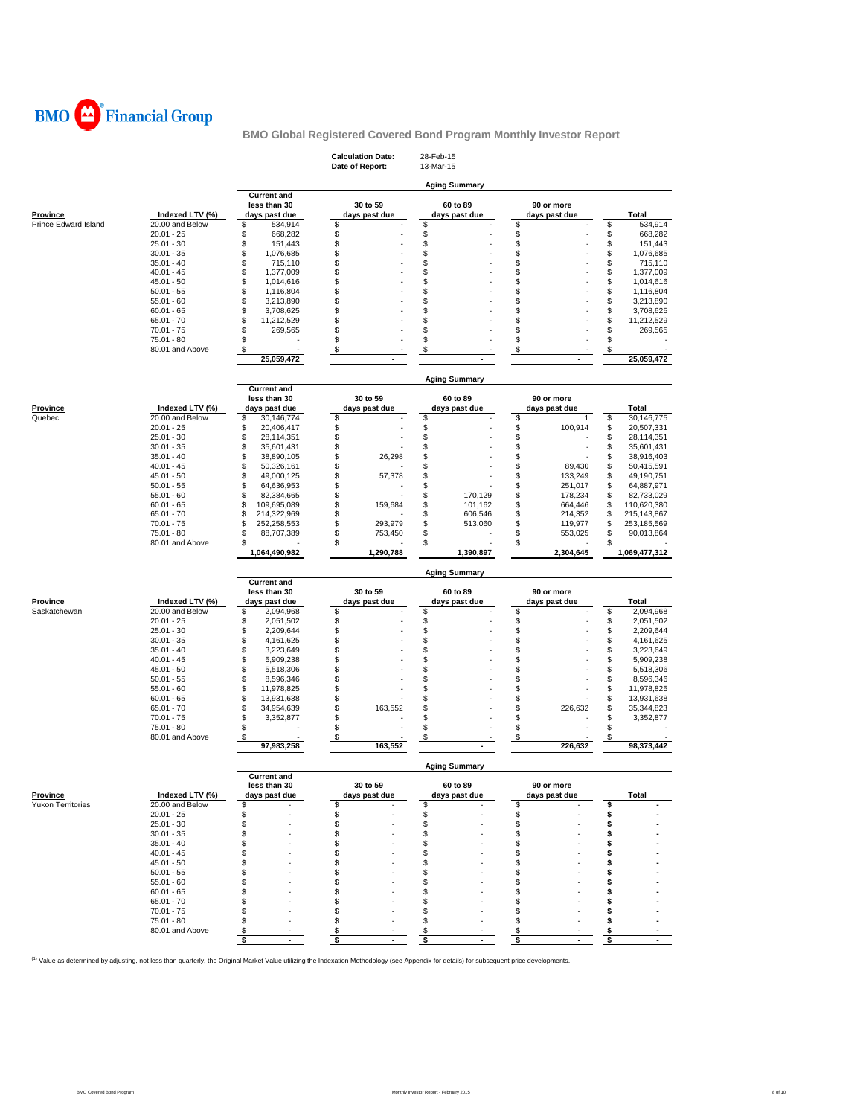

|                                      |                                 |                                    | <b>Calculation Date:</b> | 28-Feb-15            |               |                                |
|--------------------------------------|---------------------------------|------------------------------------|--------------------------|----------------------|---------------|--------------------------------|
|                                      |                                 |                                    | Date of Report:          | 13-Mar-15            |               |                                |
|                                      |                                 |                                    |                          | <b>Aging Summary</b> |               |                                |
|                                      |                                 | <b>Current and</b><br>less than 30 | 30 to 59                 | 60 to 89             | 90 or more    |                                |
| <b>Province</b>                      | Indexed LTV (%)                 | days past due                      | days past due            | days past due        | days past due | Total                          |
| Prince Edward Island                 | 20.00 and Below<br>$20.01 - 25$ | \$<br>534,914<br>\$                | \$<br>\$                 | \$<br>\$             | \$<br>\$      | \$<br>534,914<br>\$<br>668.282 |
|                                      | $25.01 - 30$                    | 668,282<br>\$<br>151,443           | \$                       | \$                   | \$            | \$<br>151,443                  |
|                                      | $30.01 - 35$                    | \$<br>1,076,685                    | \$                       | \$                   | \$            | \$<br>1,076,685                |
|                                      | $35.01 - 40$                    | \$<br>715,110                      | \$                       | \$                   | \$            | \$<br>715,110                  |
|                                      | $40.01 - 45$                    | \$<br>1,377,009                    | \$                       | \$                   | \$            | \$<br>1,377,009                |
|                                      | $45.01 - 50$                    | \$<br>1,014,616                    | \$                       | \$                   | \$            | \$<br>1,014,616                |
|                                      | $50.01 - 55$                    | \$<br>1,116,804                    | \$                       | \$                   | S             | \$<br>1,116,804                |
|                                      | $55.01 - 60$                    | \$<br>3,213,890                    | \$                       | \$                   | \$            | \$<br>3,213,890                |
|                                      | $60.01 - 65$                    | \$<br>3,708,625                    | \$                       | \$                   | \$            | \$<br>3,708,625                |
|                                      | $65.01 - 70$                    | \$<br>11,212,529                   | \$                       | \$                   | \$            | \$<br>11,212,529               |
|                                      | $70.01 - 75$                    | \$<br>269,565                      | \$                       | \$                   | \$            | \$<br>269,565                  |
|                                      | 75.01 - 80                      | \$                                 | \$                       | \$                   | \$            | \$                             |
|                                      | 80.01 and Above                 | \$                                 | \$                       | \$                   | \$            | \$                             |
|                                      |                                 | 25,059,472                         |                          |                      |               | 25,059,472                     |
|                                      |                                 |                                    |                          |                      |               |                                |
|                                      |                                 | <b>Current and</b>                 |                          | <b>Aging Summary</b> |               |                                |
|                                      |                                 | less than 30                       | 30 to 59                 | 60 to 89             | 90 or more    |                                |
| Province                             | Indexed LTV (%)                 | days past due                      | days past due            | days past due        | days past due | Total                          |
| Quebec                               | 20.00 and Below                 | \$<br>30,146,774                   | \$                       | \$                   | \$<br>1       | \$<br>30,146,775               |
|                                      | $20.01 - 25$                    | \$<br>20,406,417                   | \$                       | \$                   | \$<br>100,914 | \$<br>20,507,331               |
|                                      | $25.01 - 30$                    | \$<br>28,114,351                   | \$                       | \$                   | \$            | \$<br>28,114,351               |
|                                      | $30.01 - 35$                    | \$<br>35,601,431                   | \$                       | \$                   | \$            | \$<br>35,601,431               |
|                                      | $35.01 - 40$                    | \$<br>38,890,105                   | \$<br>26,298             | \$                   | \$            | \$<br>38,916,403               |
|                                      | $40.01 - 45$                    | \$<br>50,326,161                   | \$                       | \$                   | \$<br>89,430  | \$<br>50,415,591               |
|                                      | $45.01 - 50$                    | \$<br>49,000,125                   | \$<br>57,378             | \$                   | \$<br>133,249 | \$<br>49,190,751               |
|                                      | $50.01 - 55$                    | \$<br>64,636,953                   | \$                       | \$                   | \$<br>251,017 | \$<br>64,887,971               |
|                                      | $55.01 - 60$                    | \$<br>82,384,665                   | \$                       | \$<br>170,129        | \$<br>178,234 | \$<br>82,733,029               |
|                                      | $60.01 - 65$                    | \$<br>109,695,089                  | \$<br>159,684            | \$<br>101,162        | \$<br>664,446 | \$<br>110,620,380              |
|                                      | $65.01 - 70$                    | \$<br>214,322,969                  | \$                       | \$<br>606,546        | \$<br>214,352 | \$<br>215,143,867              |
|                                      | $70.01 - 75$                    | \$<br>252,258,553                  | \$<br>293,979            | \$<br>513,060        | \$<br>119,977 | \$<br>253,185,569              |
|                                      | 75.01 - 80                      | \$<br>88,707,389                   | \$<br>753,450            | \$                   | \$<br>553,025 | \$<br>90,013,864               |
|                                      | 80.01 and Above                 | \$                                 | \$                       | \$                   | \$            | \$                             |
|                                      |                                 | 1,064,490,982                      | 1,290,788                | 1,390,897            | 2,304,645     | 1,069,477,312                  |
|                                      |                                 | <b>Current and</b>                 |                          | <b>Aging Summary</b> |               |                                |
|                                      |                                 | less than 30                       | 30 to 59                 | 60 to 89             | 90 or more    |                                |
| Province                             | Indexed LTV (%)                 | days past due                      | days past due            | days past due        | days past due | Total                          |
| Saskatchewan                         | 20.00 and Below                 | \$<br>2,094,968                    | \$                       | \$                   | \$            | \$<br>2,094,968                |
|                                      | $20.01 - 25$                    | \$<br>2,051,502                    | \$                       | \$                   | \$            | \$<br>2,051,502                |
|                                      | $25.01 - 30$                    | \$<br>2,209,644                    | \$                       | \$                   | \$            | \$<br>2,209,644                |
|                                      | $30.01 - 35$                    | \$<br>4,161,625                    | \$                       | \$                   | \$            | \$<br>4,161,625                |
|                                      | $35.01 - 40$                    |                                    |                          |                      |               |                                |
|                                      |                                 |                                    |                          |                      |               |                                |
|                                      |                                 | \$<br>3,223,649                    | \$                       | \$                   | \$            | \$<br>3,223,649                |
|                                      | $40.01 - 45$                    | \$<br>5,909,238                    | \$                       | \$                   | \$            | \$<br>5,909,238                |
|                                      | $45.01 - 50$                    | \$<br>5,518,306                    | \$                       | \$                   | \$<br>ä,      | \$<br>5,518,306                |
|                                      | $50.01 - 55$                    | \$<br>8,596,346                    | \$                       | \$                   | \$            | \$<br>8,596,346                |
|                                      | $55.01 - 60$                    | \$<br>11,978,825                   | \$                       | \$                   | \$            | \$<br>11,978,825               |
|                                      | $60.01 - 65$<br>$65.01 - 70$    | \$<br>13,931,638<br>34,954,639     | \$<br>\$                 | \$                   | \$<br>\$      | \$<br>13,931,638               |
|                                      |                                 | \$                                 | 163,552                  | \$                   | 226,632       | \$<br>35,344,823               |
|                                      | $70.01 - 75$<br>75.01 - 80      | \$<br>3,352,877<br>\$              | \$<br>\$                 | \$<br>\$             | \$<br>\$      | \$<br>3,352,877<br>\$          |
|                                      | 80.01 and Above                 | \$                                 | \$                       | \$                   | \$            | \$                             |
|                                      |                                 | 97,983,258                         | 163,552                  |                      | 226,632       | 98,373,442                     |
|                                      |                                 |                                    |                          | <b>Aging Summary</b> |               |                                |
|                                      |                                 | <b>Current and</b>                 |                          |                      |               |                                |
|                                      |                                 | less than 30                       | 30 to 59                 | 60 to 89             | 90 or more    |                                |
|                                      | Indexed LTV (%)                 | days past due                      | days past due            | days past due        | days past due | Total                          |
|                                      | 20.00 and Below                 | \$                                 | \$                       | \$                   | \$            | \$                             |
|                                      | $20.01 - 25$                    | \$<br>\$                           | \$<br>\$                 | \$                   | \$<br>\$      | \$<br>\$                       |
|                                      | $25.01 - 30$                    | \$                                 | \$                       | \$<br>\$             | \$            | \$                             |
|                                      | $30.01 - 35$                    |                                    |                          |                      |               | \$                             |
|                                      | $35.01 - 40$                    | \$<br>\$                           | \$<br>\$                 | \$<br>\$             | \$<br>\$      | \$                             |
|                                      | $40.01 - 45$                    |                                    | \$                       |                      | \$            | \$                             |
|                                      | $45.01 - 50$                    | \$                                 | S.                       | \$                   | S             | S                              |
|                                      | $50.01 - 55$                    | \$                                 | S                        | \$                   | S             | s                              |
|                                      | $55.01 - 60$                    | \$<br>\$                           | S.                       | \$<br>\$             | S             | S                              |
|                                      | $60.01 - 65$<br>$65.01 - 70$    | \$                                 | S                        | \$                   | S             | s                              |
|                                      |                                 |                                    |                          |                      |               |                                |
|                                      | $70.01 - 75$                    | \$<br>\$                           | \$<br>\$                 | \$<br>\$             | \$            | \$<br>\$                       |
| <b>Province</b><br>Yukon Territories | 75.01 - 80<br>80.01 and Above   | \$                                 | \$                       | \$                   | \$<br>\$      | \$                             |

<sup>(1)</sup> Value as determined by adjusting, not less than quarterly, the Original Market Value utilizing the Indexation Methodology (see Appendix for details) for subsequent price developments.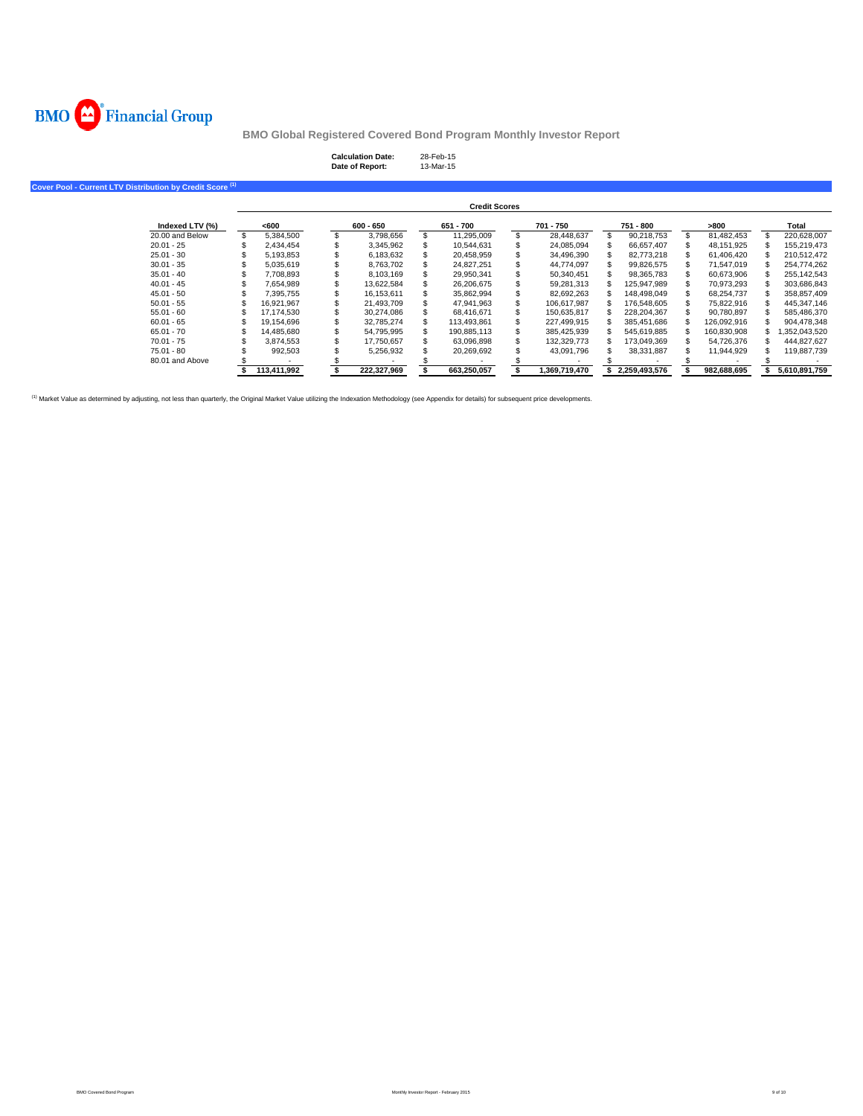

| <b>Calculation Date:</b> | 28-Feb-15 |
|--------------------------|-----------|
| Date of Report:          | 13-Mar-15 |

**Cover Pool - Current LTV Distribution by Credit Score (1)**

|                 |             |             |   | <b>Credit Scores</b> |               |               |             |               |
|-----------------|-------------|-------------|---|----------------------|---------------|---------------|-------------|---------------|
| Indexed LTV (%) | <600        | $600 - 650$ |   | 651 - 700            | 701 - 750     | 751 - 800     | >800        | Total         |
| 20.00 and Below | 5.384.500   | 3.798.656   | S | 11.295.009           | 28.448.637    | 90.218.753    | 81.482.453  | 220.628.007   |
| $20.01 - 25$    | 2.434.454   | 3,345,962   |   | 10.544.631           | 24.085.094    | 66.657.407    | 48.151.925  | 155.219.473   |
| $25.01 - 30$    | 5.193.853   | 6.183.632   |   | 20.458.959           | 34.496.390    | 82.773.218    | 61.406.420  | 210.512.472   |
| $30.01 - 35$    | 5.035.619   | 8.763.702   |   | 24.827.251           | 44.774.097    | 99.826.575    | 71.547.019  | 254.774.262   |
| $35.01 - 40$    | 7.708.893   | 8.103.169   |   | 29.950.341           | 50.340.451    | 98.365.783    | 60.673.906  | 255.142.543   |
| $40.01 - 45$    | 7.654.989   | 13.622.584  |   | 26.206.675           | 59.281.313    | 125.947.989   | 70.973.293  | 303.686.843   |
| $45.01 - 50$    | 7.395.755   | 16.153.611  | s | 35,862,994           | 82.692.263    | 148.498.049   | 68.254.737  | 358.857.409   |
| $50.01 - 55$    | 16.921.967  | 21.493.709  |   | 47.941.963           | 106.617.987   | 176.548.605   | 75.822.916  | 445.347.146   |
| $55.01 - 60$    | 17.174.530  | 30.274.086  |   | 68.416.671           | 150.635.817   | 228.204.367   | 90.780.897  | 585.486.370   |
| $60.01 - 65$    | 19.154.696  | 32.785.274  |   | 113.493.861          | 227.499.915   | 385.451.686   | 126.092.916 | 904.478.348   |
| $65.01 - 70$    | 14.485.680  | 54.795.995  |   | 190,885,113          | 385,425,939   | 545.619.885   | 160,830,908 | ,352,043,520  |
| $70.01 - 75$    | 3.874.553   | 17.750.657  |   | 63.096.898           | 132.329.773   | 173.049.369   | 54.726.376  | 444.827.627   |
| $75.01 - 80$    | 992.503     | 5.256.932   |   | 20.269.692           | 43.091.796    | 38.331.887    | 11.944.929  | 119.887.739   |
| 80.01 and Above |             |             |   |                      |               |               |             |               |
|                 | 113.411.992 | 222.327.969 |   | 663.250.057          | 1.369.719.470 | 2.259.493.576 | 982.688.695 | 5.610.891.759 |

<sup>(1)</sup> Market Value as determined by adjusting, not less than quarterly, the Original Market Value utilizing the Indexation Methodology (see Appendix for details) for subsequent price developments.